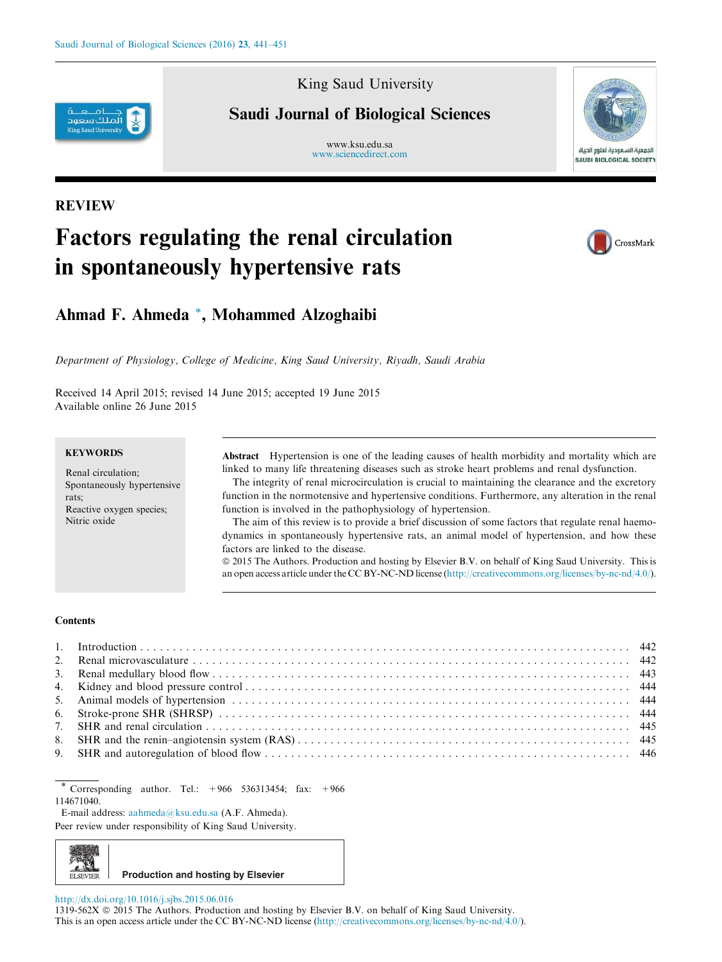

### King Saud University

## Saudi Journal of Biological Sciences

www.ksu.edu.sa www.sciencedirect.com



### REVIEW

# Factors regulating the renal circulation in spontaneously hypertensive rats



### Ahmad F. Ahmeda \*, Mohammed Alzoghaibi

Department of Physiology, College of Medicine, King Saud University, Riyadh, Saudi Arabia

Received 14 April 2015; revised 14 June 2015; accepted 19 June 2015 Available online 26 June 2015

#### **KEYWORDS**

Renal circulation; Spontaneously hypertensive rats; Reactive oxygen species; Nitric oxide

Abstract Hypertension is one of the leading causes of health morbidity and mortality which are linked to many life threatening diseases such as stroke heart problems and renal dysfunction.

The integrity of renal microcirculation is crucial to maintaining the clearance and the excretory function in the normotensive and hypertensive conditions. Furthermore, any alteration in the renal function is involved in the pathophysiology of hypertension.

The aim of this review is to provide a brief discussion of some factors that regulate renal haemodynamics in spontaneously hypertensive rats, an animal model of hypertension, and how these factors are linked to the disease.

ª 2015 The Authors. Production and hosting by Elsevier B.V. on behalf of King Saud University. This is an open access article under the CC BY-NC-ND license (http://creativecommons.org/licenses/by-nc-nd/4.0/).

#### **Contents**

Corresponding author. Tel.: +966 536313454; fax: +966 114671040.

E-mail address: aahmeda@ksu.edu.sa (A.F. Ahmeda).

Peer review under responsibility of King Saud University.



http://dx.doi.org/10.1016/j.sjbs.2015.06.016

1319-562X © 2015 The Authors. Production and hosting by Elsevier B.V. on behalf of King Saud University. This is an open access article under the CC BY-NC-ND license (http://creativecommons.org/licenses/by-nc-nd/4.0/).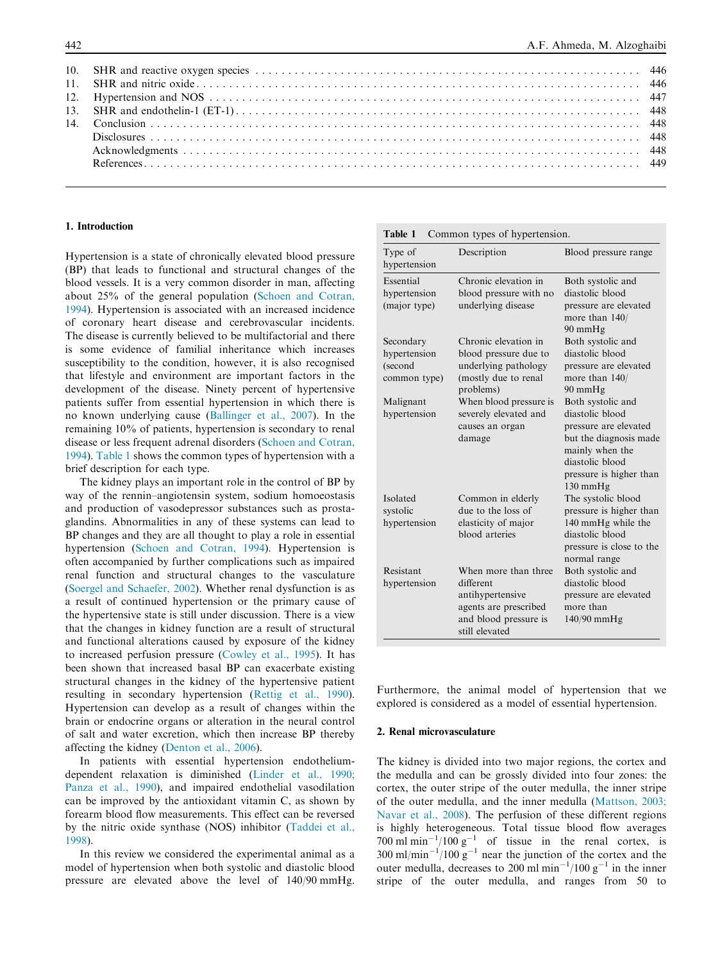#### 1. Introduction

Hypertension is a state of chronically elevated blood pressure (BP) that leads to functional and structural changes of the blood vessels. It is a very common disorder in man, affecting about 25% of the general population (Schoen and Cotran, 1994). Hypertension is associated with an increased incidence of coronary heart disease and cerebrovascular incidents. The disease is currently believed to be multifactorial and there is some evidence of familial inheritance which increases susceptibility to the condition, however, it is also recognised that lifestyle and environment are important factors in the development of the disease. Ninety percent of hypertensive patients suffer from essential hypertension in which there is no known underlying cause (Ballinger et al., 2007). In the remaining 10% of patients, hypertension is secondary to renal disease or less frequent adrenal disorders (Schoen and Cotran, 1994). Table 1 shows the common types of hypertension with a brief description for each type.

The kidney plays an important role in the control of BP by way of the rennin–angiotensin system, sodium homoeostasis and production of vasodepressor substances such as prostaglandins. Abnormalities in any of these systems can lead to BP changes and they are all thought to play a role in essential hypertension (Schoen and Cotran, 1994). Hypertension is often accompanied by further complications such as impaired renal function and structural changes to the vasculature (Soergel and Schaefer, 2002). Whether renal dysfunction is as a result of continued hypertension or the primary cause of the hypertensive state is still under discussion. There is a view that the changes in kidney function are a result of structural and functional alterations caused by exposure of the kidney to increased perfusion pressure (Cowley et al., 1995). It has been shown that increased basal BP can exacerbate existing structural changes in the kidney of the hypertensive patient resulting in secondary hypertension (Rettig et al., 1990). Hypertension can develop as a result of changes within the brain or endocrine organs or alteration in the neural control of salt and water excretion, which then increase BP thereby affecting the kidney (Denton et al., 2006).

In patients with essential hypertension endotheliumdependent relaxation is diminished (Linder et al., 1990; Panza et al., 1990), and impaired endothelial vasodilation can be improved by the antioxidant vitamin C, as shown by forearm blood flow measurements. This effect can be reversed by the nitric oxide synthase (NOS) inhibitor (Taddei et al., 1998).

In this review we considered the experimental animal as a model of hypertension when both systolic and diastolic blood pressure are elevated above the level of 140/90 mmHg.

#### Table 1 Common types of hypertension.

| Type of<br>hypertension                              | Description                                                                                                               | Blood pressure range                                                                                                                                                           |
|------------------------------------------------------|---------------------------------------------------------------------------------------------------------------------------|--------------------------------------------------------------------------------------------------------------------------------------------------------------------------------|
| Essential<br>hypertension<br>(major type)            | Chronic elevation in<br>blood pressure with no<br>underlying disease                                                      | Both systolic and<br>diastolic blood<br>pressure are elevated<br>more than 140/<br>90 mmHg                                                                                     |
| Secondary<br>hypertension<br>(second<br>common type) | Chronic elevation in<br>blood pressure due to<br>underlying pathology<br>(mostly due to renal<br>problems)                | Both systolic and<br>diastolic blood<br>pressure are elevated<br>more than $140/$<br>90 mmHg                                                                                   |
| Malignant<br>hypertension                            | When blood pressure is<br>severely elevated and<br>causes an organ<br>damage                                              | Both systolic and<br>diastolic blood<br>pressure are elevated<br>but the diagnosis made<br>mainly when the<br>diastolic blood<br>pressure is higher than<br>$130 \text{ mmHg}$ |
| Isolated<br>systolic<br>hypertension                 | Common in elderly<br>due to the loss of<br>elasticity of major<br>blood arteries                                          | The systolic blood<br>pressure is higher than<br>140 mmHg while the<br>diastolic blood<br>pressure is close to the<br>normal range                                             |
| Resistant<br>hypertension                            | When more than three<br>different<br>antihypertensive<br>agents are prescribed<br>and blood pressure is<br>still elevated | Both systolic and<br>diastolic blood<br>pressure are elevated<br>more than<br>$140/90$ mmHg                                                                                    |

Furthermore, the animal model of hypertension that we explored is considered as a model of essential hypertension.

#### 2. Renal microvasculature

The kidney is divided into two major regions, the cortex and the medulla and can be grossly divided into four zones: the cortex, the outer stripe of the outer medulla, the inner stripe of the outer medulla, and the inner medulla (Mattson, 2003; Navar et al., 2008). The perfusion of these different regions is highly heterogeneous. Total tissue blood flow averages 700 ml min<sup>-1</sup>/100 g<sup>-1</sup> of tissue in the renal cortex, is  $300 \text{ ml/min}^{-1}/100 \text{ g}^{-1}$  near the junction of the cortex and the outer medulla, decreases to 200 ml min<sup>-1</sup>/100 g<sup>-1</sup> in the inner stripe of the outer medulla, and ranges from 50 to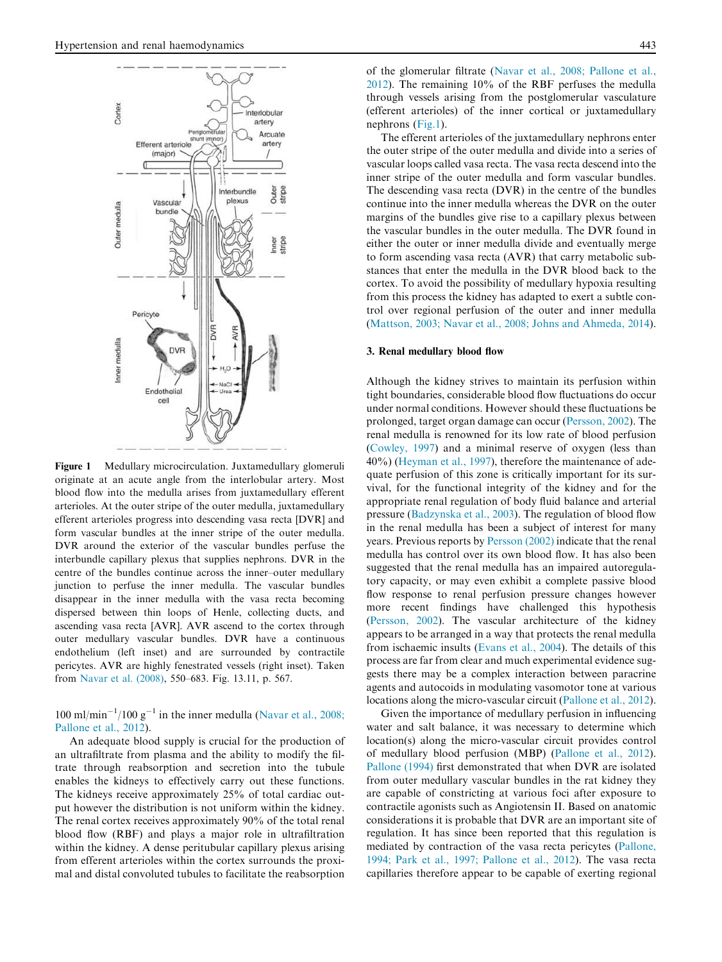

Figure 1 Medullary microcirculation. Juxtamedullary glomeruli originate at an acute angle from the interlobular artery. Most blood flow into the medulla arises from juxtamedullary efferent arterioles. At the outer stripe of the outer medulla, juxtamedullary efferent arterioles progress into descending vasa recta [DVR] and form vascular bundles at the inner stripe of the outer medulla. DVR around the exterior of the vascular bundles perfuse the interbundle capillary plexus that supplies nephrons. DVR in the centre of the bundles continue across the inner–outer medullary junction to perfuse the inner medulla. The vascular bundles disappear in the inner medulla with the vasa recta becoming dispersed between thin loops of Henle, collecting ducts, and ascending vasa recta [AVR]. AVR ascend to the cortex through outer medullary vascular bundles. DVR have a continuous endothelium (left inset) and are surrounded by contractile pericytes. AVR are highly fenestrated vessels (right inset). Taken from Navar et al. (2008), 550–683. Fig. 13.11, p. 567.

 $100 \text{ ml/min}^{-1}/100 \text{ g}^{-1}$  in the inner medulla (Navar et al., 2008; Pallone et al., 2012).

An adequate blood supply is crucial for the production of an ultrafiltrate from plasma and the ability to modify the filtrate through reabsorption and secretion into the tubule enables the kidneys to effectively carry out these functions. The kidneys receive approximately 25% of total cardiac output however the distribution is not uniform within the kidney. The renal cortex receives approximately 90% of the total renal blood flow (RBF) and plays a major role in ultrafiltration within the kidney. A dense peritubular capillary plexus arising from efferent arterioles within the cortex surrounds the proximal and distal convoluted tubules to facilitate the reabsorption of the glomerular filtrate (Navar et al., 2008; Pallone et al., 2012). The remaining 10% of the RBF perfuses the medulla through vessels arising from the postglomerular vasculature (efferent arterioles) of the inner cortical or juxtamedullary nephrons (Fig.1).

The efferent arterioles of the juxtamedullary nephrons enter the outer stripe of the outer medulla and divide into a series of vascular loops called vasa recta. The vasa recta descend into the inner stripe of the outer medulla and form vascular bundles. The descending vasa recta (DVR) in the centre of the bundles continue into the inner medulla whereas the DVR on the outer margins of the bundles give rise to a capillary plexus between the vascular bundles in the outer medulla. The DVR found in either the outer or inner medulla divide and eventually merge to form ascending vasa recta (AVR) that carry metabolic substances that enter the medulla in the DVR blood back to the cortex. To avoid the possibility of medullary hypoxia resulting from this process the kidney has adapted to exert a subtle control over regional perfusion of the outer and inner medulla (Mattson, 2003; Navar et al., 2008; Johns and Ahmeda, 2014).

#### 3. Renal medullary blood flow

Although the kidney strives to maintain its perfusion within tight boundaries, considerable blood flow fluctuations do occur under normal conditions. However should these fluctuations be prolonged, target organ damage can occur (Persson, 2002). The renal medulla is renowned for its low rate of blood perfusion (Cowley, 1997) and a minimal reserve of oxygen (less than 40%) (Heyman et al., 1997), therefore the maintenance of adequate perfusion of this zone is critically important for its survival, for the functional integrity of the kidney and for the appropriate renal regulation of body fluid balance and arterial pressure (Badzynska et al., 2003). The regulation of blood flow in the renal medulla has been a subject of interest for many years. Previous reports by Persson (2002) indicate that the renal medulla has control over its own blood flow. It has also been suggested that the renal medulla has an impaired autoregulatory capacity, or may even exhibit a complete passive blood flow response to renal perfusion pressure changes however more recent findings have challenged this hypothesis (Persson, 2002). The vascular architecture of the kidney appears to be arranged in a way that protects the renal medulla from ischaemic insults (Evans et al., 2004). The details of this process are far from clear and much experimental evidence suggests there may be a complex interaction between paracrine agents and autocoids in modulating vasomotor tone at various locations along the micro-vascular circuit (Pallone et al., 2012).

Given the importance of medullary perfusion in influencing water and salt balance, it was necessary to determine which location(s) along the micro-vascular circuit provides control of medullary blood perfusion (MBP) (Pallone et al., 2012). Pallone (1994) first demonstrated that when DVR are isolated from outer medullary vascular bundles in the rat kidney they are capable of constricting at various foci after exposure to contractile agonists such as Angiotensin II. Based on anatomic considerations it is probable that DVR are an important site of regulation. It has since been reported that this regulation is mediated by contraction of the vasa recta pericytes (Pallone, 1994; Park et al., 1997; Pallone et al., 2012). The vasa recta capillaries therefore appear to be capable of exerting regional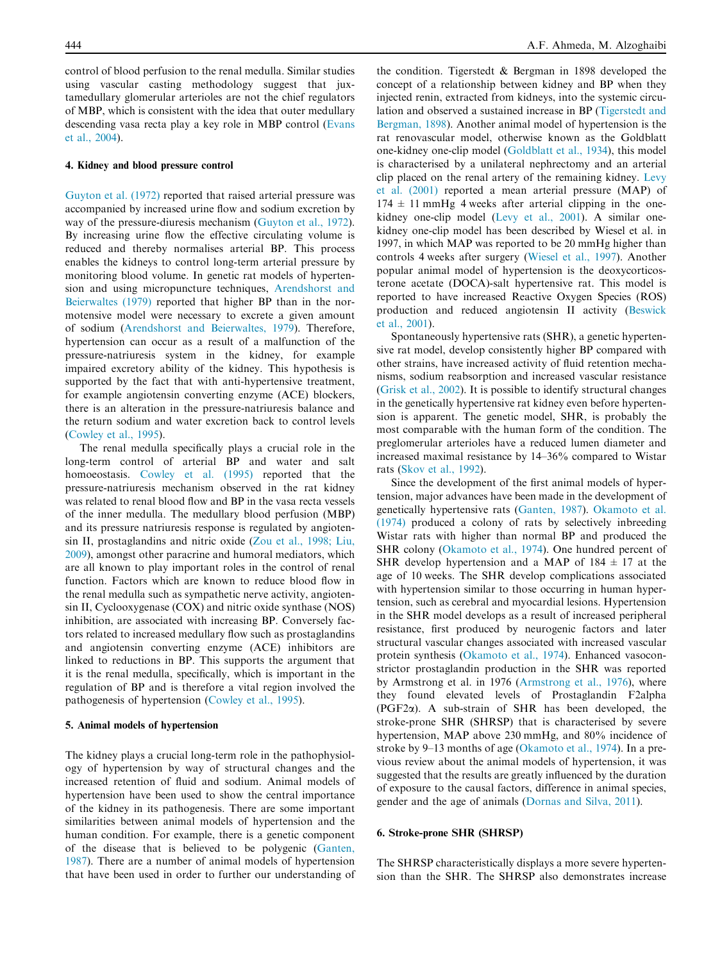control of blood perfusion to the renal medulla. Similar studies using vascular casting methodology suggest that juxtamedullary glomerular arterioles are not the chief regulators of MBP, which is consistent with the idea that outer medullary descending vasa recta play a key role in MBP control (Evans et al., 2004).

#### 4. Kidney and blood pressure control

Guyton et al. (1972) reported that raised arterial pressure was accompanied by increased urine flow and sodium excretion by way of the pressure-diuresis mechanism (Guyton et al., 1972). By increasing urine flow the effective circulating volume is reduced and thereby normalises arterial BP. This process enables the kidneys to control long-term arterial pressure by monitoring blood volume. In genetic rat models of hypertension and using micropuncture techniques, Arendshorst and Beierwaltes (1979) reported that higher BP than in the normotensive model were necessary to excrete a given amount of sodium (Arendshorst and Beierwaltes, 1979). Therefore, hypertension can occur as a result of a malfunction of the pressure-natriuresis system in the kidney, for example impaired excretory ability of the kidney. This hypothesis is supported by the fact that with anti-hypertensive treatment, for example angiotensin converting enzyme (ACE) blockers, there is an alteration in the pressure-natriuresis balance and the return sodium and water excretion back to control levels (Cowley et al., 1995).

The renal medulla specifically plays a crucial role in the long-term control of arterial BP and water and salt homoeostasis. Cowley et al. (1995) reported that the pressure-natriuresis mechanism observed in the rat kidney was related to renal blood flow and BP in the vasa recta vessels of the inner medulla. The medullary blood perfusion (MBP) and its pressure natriuresis response is regulated by angiotensin II, prostaglandins and nitric oxide (Zou et al., 1998; Liu, 2009), amongst other paracrine and humoral mediators, which are all known to play important roles in the control of renal function. Factors which are known to reduce blood flow in the renal medulla such as sympathetic nerve activity, angiotensin II, Cyclooxygenase (COX) and nitric oxide synthase (NOS) inhibition, are associated with increasing BP. Conversely factors related to increased medullary flow such as prostaglandins and angiotensin converting enzyme (ACE) inhibitors are linked to reductions in BP. This supports the argument that it is the renal medulla, specifically, which is important in the regulation of BP and is therefore a vital region involved the pathogenesis of hypertension (Cowley et al., 1995).

#### 5. Animal models of hypertension

The kidney plays a crucial long-term role in the pathophysiology of hypertension by way of structural changes and the increased retention of fluid and sodium. Animal models of hypertension have been used to show the central importance of the kidney in its pathogenesis. There are some important similarities between animal models of hypertension and the human condition. For example, there is a genetic component of the disease that is believed to be polygenic (Ganten, 1987). There are a number of animal models of hypertension that have been used in order to further our understanding of

the condition. Tigerstedt & Bergman in 1898 developed the concept of a relationship between kidney and BP when they injected renin, extracted from kidneys, into the systemic circulation and observed a sustained increase in BP (Tigerstedt and Bergman, 1898). Another animal model of hypertension is the rat renovascular model, otherwise known as the Goldblatt one-kidney one-clip model (Goldblatt et al., 1934), this model is characterised by a unilateral nephrectomy and an arterial clip placed on the renal artery of the remaining kidney. Levy et al. (2001) reported a mean arterial pressure (MAP) of  $174 \pm 11$  mmHg 4 weeks after arterial clipping in the onekidney one-clip model (Levy et al., 2001). A similar onekidney one-clip model has been described by Wiesel et al. in 1997, in which MAP was reported to be 20 mmHg higher than controls 4 weeks after surgery (Wiesel et al., 1997). Another popular animal model of hypertension is the deoxycorticosterone acetate (DOCA)-salt hypertensive rat. This model is reported to have increased Reactive Oxygen Species (ROS) production and reduced angiotensin II activity (Beswick et al., 2001).

Spontaneously hypertensive rats (SHR), a genetic hypertensive rat model, develop consistently higher BP compared with other strains, have increased activity of fluid retention mechanisms, sodium reabsorption and increased vascular resistance (Grisk et al., 2002). It is possible to identify structural changes in the genetically hypertensive rat kidney even before hypertension is apparent. The genetic model, SHR, is probably the most comparable with the human form of the condition. The preglomerular arterioles have a reduced lumen diameter and increased maximal resistance by 14–36% compared to Wistar rats (Skov et al., 1992).

Since the development of the first animal models of hypertension, major advances have been made in the development of genetically hypertensive rats (Ganten, 1987). Okamoto et al. (1974) produced a colony of rats by selectively inbreeding Wistar rats with higher than normal BP and produced the SHR colony (Okamoto et al., 1974). One hundred percent of SHR develop hypertension and a MAP of  $184 \pm 17$  at the age of 10 weeks. The SHR develop complications associated with hypertension similar to those occurring in human hypertension, such as cerebral and myocardial lesions. Hypertension in the SHR model develops as a result of increased peripheral resistance, first produced by neurogenic factors and later structural vascular changes associated with increased vascular protein synthesis (Okamoto et al., 1974). Enhanced vasoconstrictor prostaglandin production in the SHR was reported by Armstrong et al. in 1976 (Armstrong et al., 1976), where they found elevated levels of Prostaglandin F2alpha ( $PGF2\alpha$ ). A sub-strain of SHR has been developed, the stroke-prone SHR (SHRSP) that is characterised by severe hypertension, MAP above 230 mmHg, and 80% incidence of stroke by 9–13 months of age (Okamoto et al., 1974). In a previous review about the animal models of hypertension, it was suggested that the results are greatly influenced by the duration of exposure to the causal factors, difference in animal species, gender and the age of animals (Dornas and Silva, 2011).

#### 6. Stroke-prone SHR (SHRSP)

The SHRSP characteristically displays a more severe hypertension than the SHR. The SHRSP also demonstrates increase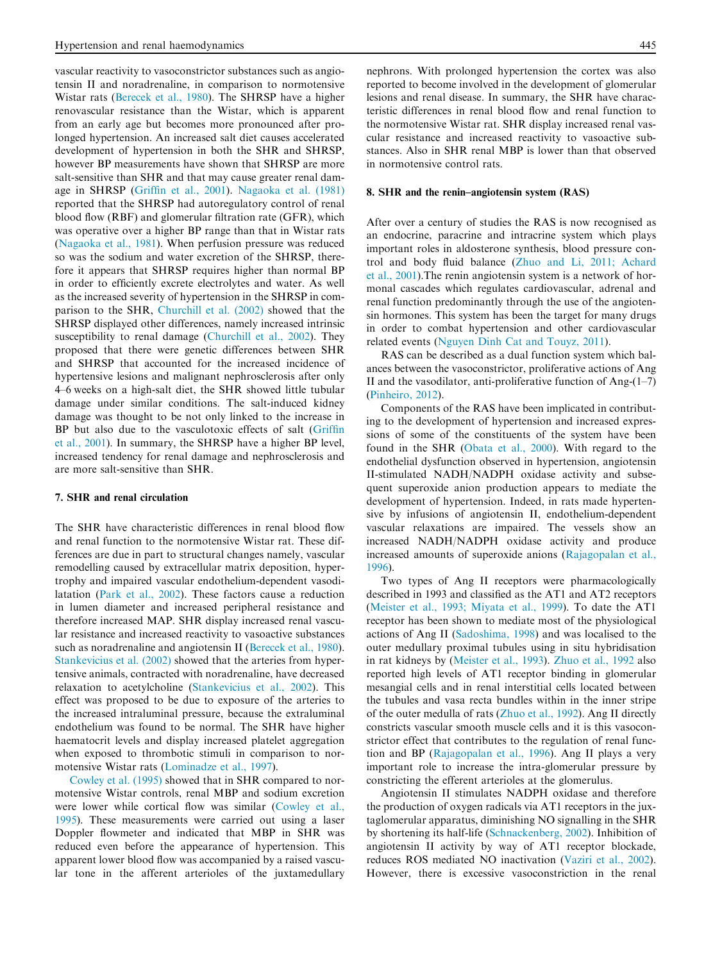vascular reactivity to vasoconstrictor substances such as angiotensin II and noradrenaline, in comparison to normotensive Wistar rats (Berecek et al., 1980). The SHRSP have a higher renovascular resistance than the Wistar, which is apparent from an early age but becomes more pronounced after prolonged hypertension. An increased salt diet causes accelerated development of hypertension in both the SHR and SHRSP, however BP measurements have shown that SHRSP are more salt-sensitive than SHR and that may cause greater renal damage in SHRSP (Griffin et al., 2001). Nagaoka et al. (1981) reported that the SHRSP had autoregulatory control of renal blood flow (RBF) and glomerular filtration rate (GFR), which was operative over a higher BP range than that in Wistar rats (Nagaoka et al., 1981). When perfusion pressure was reduced so was the sodium and water excretion of the SHRSP, therefore it appears that SHRSP requires higher than normal BP in order to efficiently excrete electrolytes and water. As well as the increased severity of hypertension in the SHRSP in comparison to the SHR, Churchill et al. (2002) showed that the SHRSP displayed other differences, namely increased intrinsic susceptibility to renal damage (Churchill et al., 2002). They proposed that there were genetic differences between SHR and SHRSP that accounted for the increased incidence of hypertensive lesions and malignant nephrosclerosis after only 4–6 weeks on a high-salt diet, the SHR showed little tubular damage under similar conditions. The salt-induced kidney damage was thought to be not only linked to the increase in BP but also due to the vasculotoxic effects of salt (Griffin et al., 2001). In summary, the SHRSP have a higher BP level, increased tendency for renal damage and nephrosclerosis and are more salt-sensitive than SHR.

#### 7. SHR and renal circulation

The SHR have characteristic differences in renal blood flow and renal function to the normotensive Wistar rat. These differences are due in part to structural changes namely, vascular remodelling caused by extracellular matrix deposition, hypertrophy and impaired vascular endothelium-dependent vasodilatation (Park et al., 2002). These factors cause a reduction in lumen diameter and increased peripheral resistance and therefore increased MAP. SHR display increased renal vascular resistance and increased reactivity to vasoactive substances such as noradrenaline and angiotensin II (Berecek et al., 1980). Stankevicius et al. (2002) showed that the arteries from hypertensive animals, contracted with noradrenaline, have decreased relaxation to acetylcholine (Stankevicius et al., 2002). This effect was proposed to be due to exposure of the arteries to the increased intraluminal pressure, because the extraluminal endothelium was found to be normal. The SHR have higher haematocrit levels and display increased platelet aggregation when exposed to thrombotic stimuli in comparison to normotensive Wistar rats (Lominadze et al., 1997).

Cowley et al. (1995) showed that in SHR compared to normotensive Wistar controls, renal MBP and sodium excretion were lower while cortical flow was similar (Cowley et al., 1995). These measurements were carried out using a laser Doppler flowmeter and indicated that MBP in SHR was reduced even before the appearance of hypertension. This apparent lower blood flow was accompanied by a raised vascular tone in the afferent arterioles of the juxtamedullary nephrons. With prolonged hypertension the cortex was also reported to become involved in the development of glomerular lesions and renal disease. In summary, the SHR have characteristic differences in renal blood flow and renal function to the normotensive Wistar rat. SHR display increased renal vascular resistance and increased reactivity to vasoactive substances. Also in SHR renal MBP is lower than that observed in normotensive control rats.

#### 8. SHR and the renin–angiotensin system (RAS)

After over a century of studies the RAS is now recognised as an endocrine, paracrine and intracrine system which plays important roles in aldosterone synthesis, blood pressure control and body fluid balance (Zhuo and Li, 2011; Achard et al., 2001).The renin angiotensin system is a network of hormonal cascades which regulates cardiovascular, adrenal and renal function predominantly through the use of the angiotensin hormones. This system has been the target for many drugs in order to combat hypertension and other cardiovascular related events (Nguyen Dinh Cat and Touyz, 2011).

RAS can be described as a dual function system which balances between the vasoconstrictor, proliferative actions of Ang II and the vasodilator, anti-proliferative function of Ang- $(1-7)$ (Pinheiro, 2012).

Components of the RAS have been implicated in contributing to the development of hypertension and increased expressions of some of the constituents of the system have been found in the SHR (Obata et al., 2000). With regard to the endothelial dysfunction observed in hypertension, angiotensin II-stimulated NADH/NADPH oxidase activity and subsequent superoxide anion production appears to mediate the development of hypertension. Indeed, in rats made hypertensive by infusions of angiotensin II, endothelium-dependent vascular relaxations are impaired. The vessels show an increased NADH/NADPH oxidase activity and produce increased amounts of superoxide anions (Rajagopalan et al., 1996).

Two types of Ang II receptors were pharmacologically described in 1993 and classified as the AT1 and AT2 receptors (Meister et al., 1993; Miyata et al., 1999). To date the AT1 receptor has been shown to mediate most of the physiological actions of Ang II (Sadoshima, 1998) and was localised to the outer medullary proximal tubules using in situ hybridisation in rat kidneys by (Meister et al., 1993). Zhuo et al., 1992 also reported high levels of AT1 receptor binding in glomerular mesangial cells and in renal interstitial cells located between the tubules and vasa recta bundles within in the inner stripe of the outer medulla of rats (Zhuo et al., 1992). Ang II directly constricts vascular smooth muscle cells and it is this vasoconstrictor effect that contributes to the regulation of renal function and BP (Rajagopalan et al., 1996). Ang II plays a very important role to increase the intra-glomerular pressure by constricting the efferent arterioles at the glomerulus.

Angiotensin II stimulates NADPH oxidase and therefore the production of oxygen radicals via AT1 receptors in the juxtaglomerular apparatus, diminishing NO signalling in the SHR by shortening its half-life (Schnackenberg, 2002). Inhibition of angiotensin II activity by way of AT1 receptor blockade, reduces ROS mediated NO inactivation (Vaziri et al., 2002). However, there is excessive vasoconstriction in the renal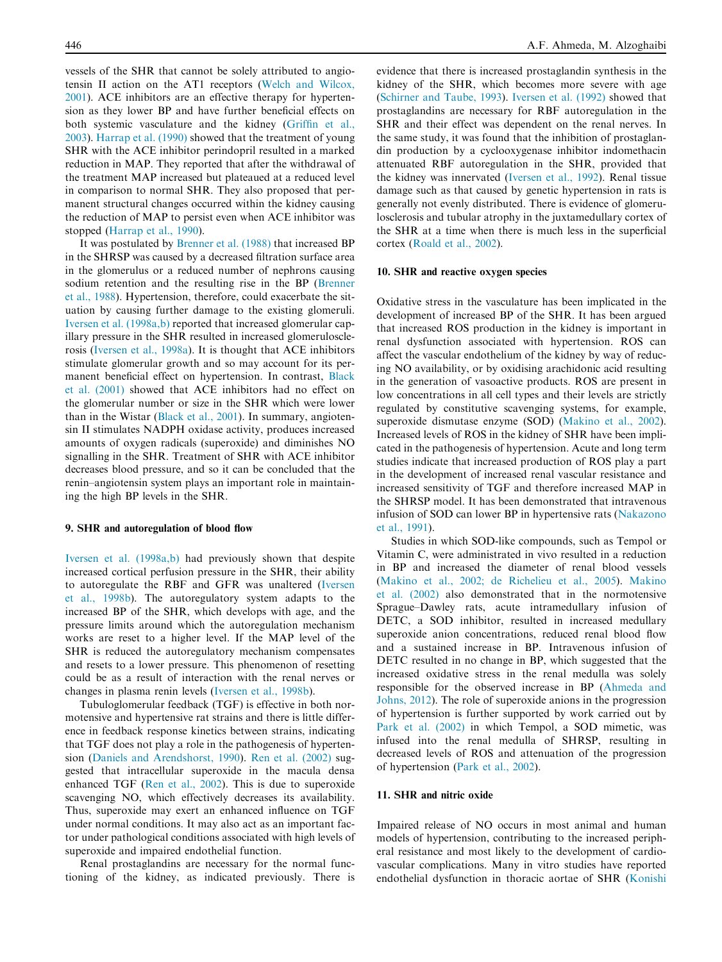vessels of the SHR that cannot be solely attributed to angiotensin II action on the AT1 receptors (Welch and Wilcox, 2001). ACE inhibitors are an effective therapy for hypertension as they lower BP and have further beneficial effects on both systemic vasculature and the kidney (Griffin et al., 2003). Harrap et al. (1990) showed that the treatment of young SHR with the ACE inhibitor perindopril resulted in a marked reduction in MAP. They reported that after the withdrawal of the treatment MAP increased but plateaued at a reduced level in comparison to normal SHR. They also proposed that permanent structural changes occurred within the kidney causing the reduction of MAP to persist even when ACE inhibitor was stopped (Harrap et al., 1990).

It was postulated by Brenner et al. (1988) that increased BP in the SHRSP was caused by a decreased filtration surface area in the glomerulus or a reduced number of nephrons causing sodium retention and the resulting rise in the BP (Brenner et al., 1988). Hypertension, therefore, could exacerbate the situation by causing further damage to the existing glomeruli. Iversen et al. (1998a,b) reported that increased glomerular capillary pressure in the SHR resulted in increased glomerulosclerosis (Iversen et al., 1998a). It is thought that ACE inhibitors stimulate glomerular growth and so may account for its permanent beneficial effect on hypertension. In contrast, Black et al. (2001) showed that ACE inhibitors had no effect on the glomerular number or size in the SHR which were lower than in the Wistar (Black et al., 2001). In summary, angiotensin II stimulates NADPH oxidase activity, produces increased amounts of oxygen radicals (superoxide) and diminishes NO signalling in the SHR. Treatment of SHR with ACE inhibitor decreases blood pressure, and so it can be concluded that the renin–angiotensin system plays an important role in maintaining the high BP levels in the SHR.

#### 9. SHR and autoregulation of blood flow

Iversen et al. (1998a,b) had previously shown that despite increased cortical perfusion pressure in the SHR, their ability to autoregulate the RBF and GFR was unaltered (Iversen et al., 1998b). The autoregulatory system adapts to the increased BP of the SHR, which develops with age, and the pressure limits around which the autoregulation mechanism works are reset to a higher level. If the MAP level of the SHR is reduced the autoregulatory mechanism compensates and resets to a lower pressure. This phenomenon of resetting could be as a result of interaction with the renal nerves or changes in plasma renin levels (Iversen et al., 1998b).

Tubuloglomerular feedback (TGF) is effective in both normotensive and hypertensive rat strains and there is little difference in feedback response kinetics between strains, indicating that TGF does not play a role in the pathogenesis of hypertension (Daniels and Arendshorst, 1990). Ren et al. (2002) suggested that intracellular superoxide in the macula densa enhanced TGF (Ren et al., 2002). This is due to superoxide scavenging NO, which effectively decreases its availability. Thus, superoxide may exert an enhanced influence on TGF under normal conditions. It may also act as an important factor under pathological conditions associated with high levels of superoxide and impaired endothelial function.

Renal prostaglandins are necessary for the normal functioning of the kidney, as indicated previously. There is evidence that there is increased prostaglandin synthesis in the kidney of the SHR, which becomes more severe with age (Schirner and Taube, 1993). Iversen et al. (1992) showed that prostaglandins are necessary for RBF autoregulation in the SHR and their effect was dependent on the renal nerves. In the same study, it was found that the inhibition of prostaglandin production by a cyclooxygenase inhibitor indomethacin attenuated RBF autoregulation in the SHR, provided that the kidney was innervated (Iversen et al., 1992). Renal tissue damage such as that caused by genetic hypertension in rats is generally not evenly distributed. There is evidence of glomerulosclerosis and tubular atrophy in the juxtamedullary cortex of the SHR at a time when there is much less in the superficial cortex (Roald et al., 2002).

#### 10. SHR and reactive oxygen species

Oxidative stress in the vasculature has been implicated in the development of increased BP of the SHR. It has been argued that increased ROS production in the kidney is important in renal dysfunction associated with hypertension. ROS can affect the vascular endothelium of the kidney by way of reducing NO availability, or by oxidising arachidonic acid resulting in the generation of vasoactive products. ROS are present in low concentrations in all cell types and their levels are strictly regulated by constitutive scavenging systems, for example, superoxide dismutase enzyme (SOD) (Makino et al., 2002). Increased levels of ROS in the kidney of SHR have been implicated in the pathogenesis of hypertension. Acute and long term studies indicate that increased production of ROS play a part in the development of increased renal vascular resistance and increased sensitivity of TGF and therefore increased MAP in the SHRSP model. It has been demonstrated that intravenous infusion of SOD can lower BP in hypertensive rats (Nakazono et al., 1991).

Studies in which SOD-like compounds, such as Tempol or Vitamin C, were administrated in vivo resulted in a reduction in BP and increased the diameter of renal blood vessels (Makino et al., 2002; de Richelieu et al., 2005). Makino et al. (2002) also demonstrated that in the normotensive Sprague–Dawley rats, acute intramedullary infusion of DETC, a SOD inhibitor, resulted in increased medullary superoxide anion concentrations, reduced renal blood flow and a sustained increase in BP. Intravenous infusion of DETC resulted in no change in BP, which suggested that the increased oxidative stress in the renal medulla was solely responsible for the observed increase in BP (Ahmeda and Johns, 2012). The role of superoxide anions in the progression of hypertension is further supported by work carried out by Park et al. (2002) in which Tempol, a SOD mimetic, was infused into the renal medulla of SHRSP, resulting in decreased levels of ROS and attenuation of the progression of hypertension (Park et al., 2002).

#### 11. SHR and nitric oxide

Impaired release of NO occurs in most animal and human models of hypertension, contributing to the increased peripheral resistance and most likely to the development of cardiovascular complications. Many in vitro studies have reported endothelial dysfunction in thoracic aortae of SHR (Konishi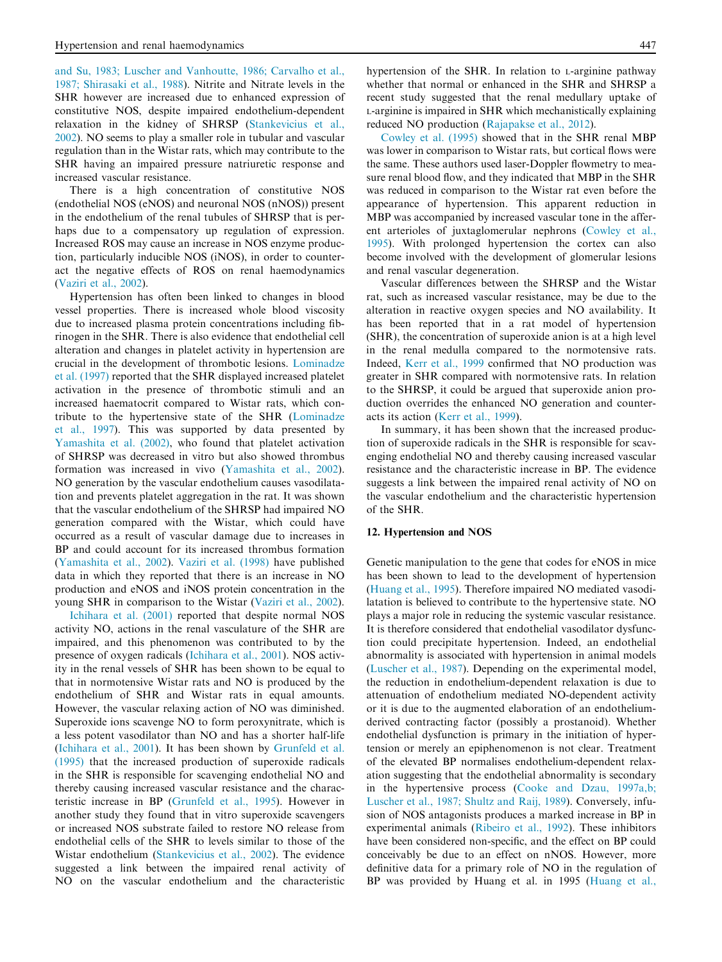and Su, 1983; Luscher and Vanhoutte, 1986; Carvalho et al., 1987; Shirasaki et al., 1988). Nitrite and Nitrate levels in the SHR however are increased due to enhanced expression of constitutive NOS, despite impaired endothelium-dependent relaxation in the kidney of SHRSP (Stankevicius et al., 2002). NO seems to play a smaller role in tubular and vascular regulation than in the Wistar rats, which may contribute to the SHR having an impaired pressure natriuretic response and increased vascular resistance.

There is a high concentration of constitutive NOS (endothelial NOS (eNOS) and neuronal NOS (nNOS)) present in the endothelium of the renal tubules of SHRSP that is perhaps due to a compensatory up regulation of expression. Increased ROS may cause an increase in NOS enzyme production, particularly inducible NOS (iNOS), in order to counteract the negative effects of ROS on renal haemodynamics (Vaziri et al., 2002).

Hypertension has often been linked to changes in blood vessel properties. There is increased whole blood viscosity due to increased plasma protein concentrations including fibrinogen in the SHR. There is also evidence that endothelial cell alteration and changes in platelet activity in hypertension are crucial in the development of thrombotic lesions. Lominadze et al. (1997) reported that the SHR displayed increased platelet activation in the presence of thrombotic stimuli and an increased haematocrit compared to Wistar rats, which contribute to the hypertensive state of the SHR (Lominadze et al., 1997). This was supported by data presented by Yamashita et al. (2002), who found that platelet activation of SHRSP was decreased in vitro but also showed thrombus formation was increased in vivo (Yamashita et al., 2002). NO generation by the vascular endothelium causes vasodilatation and prevents platelet aggregation in the rat. It was shown that the vascular endothelium of the SHRSP had impaired NO generation compared with the Wistar, which could have occurred as a result of vascular damage due to increases in BP and could account for its increased thrombus formation (Yamashita et al., 2002). Vaziri et al. (1998) have published data in which they reported that there is an increase in NO production and eNOS and iNOS protein concentration in the young SHR in comparison to the Wistar (Vaziri et al., 2002).

Ichihara et al. (2001) reported that despite normal NOS activity NO, actions in the renal vasculature of the SHR are impaired, and this phenomenon was contributed to by the presence of oxygen radicals (Ichihara et al., 2001). NOS activity in the renal vessels of SHR has been shown to be equal to that in normotensive Wistar rats and NO is produced by the endothelium of SHR and Wistar rats in equal amounts. However, the vascular relaxing action of NO was diminished. Superoxide ions scavenge NO to form peroxynitrate, which is a less potent vasodilator than NO and has a shorter half-life (Ichihara et al., 2001). It has been shown by Grunfeld et al. (1995) that the increased production of superoxide radicals in the SHR is responsible for scavenging endothelial NO and thereby causing increased vascular resistance and the characteristic increase in BP (Grunfeld et al., 1995). However in another study they found that in vitro superoxide scavengers or increased NOS substrate failed to restore NO release from endothelial cells of the SHR to levels similar to those of the Wistar endothelium (Stankevicius et al., 2002). The evidence suggested a link between the impaired renal activity of NO on the vascular endothelium and the characteristic hypertension of the SHR. In relation to <sup>L</sup>-arginine pathway whether that normal or enhanced in the SHR and SHRSP a recent study suggested that the renal medullary uptake of <sup>L</sup>-arginine is impaired in SHR which mechanistically explaining reduced NO production (Rajapakse et al., 2012).

Cowley et al. (1995) showed that in the SHR renal MBP was lower in comparison to Wistar rats, but cortical flows were the same. These authors used laser-Doppler flowmetry to measure renal blood flow, and they indicated that MBP in the SHR was reduced in comparison to the Wistar rat even before the appearance of hypertension. This apparent reduction in MBP was accompanied by increased vascular tone in the afferent arterioles of juxtaglomerular nephrons (Cowley et al., 1995). With prolonged hypertension the cortex can also become involved with the development of glomerular lesions and renal vascular degeneration.

Vascular differences between the SHRSP and the Wistar rat, such as increased vascular resistance, may be due to the alteration in reactive oxygen species and NO availability. It has been reported that in a rat model of hypertension (SHR), the concentration of superoxide anion is at a high level in the renal medulla compared to the normotensive rats. Indeed, Kerr et al., 1999 confirmed that NO production was greater in SHR compared with normotensive rats. In relation to the SHRSP, it could be argued that superoxide anion production overrides the enhanced NO generation and counteracts its action (Kerr et al., 1999).

In summary, it has been shown that the increased production of superoxide radicals in the SHR is responsible for scavenging endothelial NO and thereby causing increased vascular resistance and the characteristic increase in BP. The evidence suggests a link between the impaired renal activity of NO on the vascular endothelium and the characteristic hypertension of the SHR.

#### 12. Hypertension and NOS

Genetic manipulation to the gene that codes for eNOS in mice has been shown to lead to the development of hypertension (Huang et al., 1995). Therefore impaired NO mediated vasodilatation is believed to contribute to the hypertensive state. NO plays a major role in reducing the systemic vascular resistance. It is therefore considered that endothelial vasodilator dysfunction could precipitate hypertension. Indeed, an endothelial abnormality is associated with hypertension in animal models (Luscher et al., 1987). Depending on the experimental model, the reduction in endothelium-dependent relaxation is due to attenuation of endothelium mediated NO-dependent activity or it is due to the augmented elaboration of an endotheliumderived contracting factor (possibly a prostanoid). Whether endothelial dysfunction is primary in the initiation of hypertension or merely an epiphenomenon is not clear. Treatment of the elevated BP normalises endothelium-dependent relaxation suggesting that the endothelial abnormality is secondary in the hypertensive process (Cooke and Dzau, 1997a,b; Luscher et al., 1987; Shultz and Raij, 1989). Conversely, infusion of NOS antagonists produces a marked increase in BP in experimental animals (Ribeiro et al., 1992). These inhibitors have been considered non-specific, and the effect on BP could conceivably be due to an effect on nNOS. However, more definitive data for a primary role of NO in the regulation of BP was provided by Huang et al. in 1995 (Huang et al.,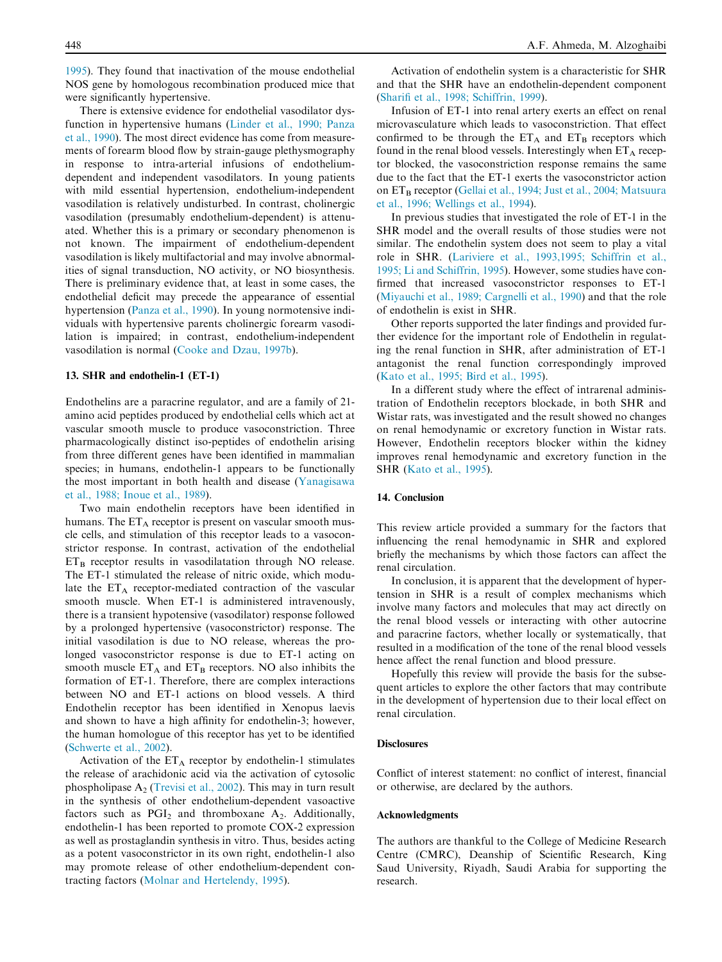1995). They found that inactivation of the mouse endothelial NOS gene by homologous recombination produced mice that were significantly hypertensive.

There is extensive evidence for endothelial vasodilator dysfunction in hypertensive humans (Linder et al., 1990; Panza et al., 1990). The most direct evidence has come from measurements of forearm blood flow by strain-gauge plethysmography in response to intra-arterial infusions of endotheliumdependent and independent vasodilators. In young patients with mild essential hypertension, endothelium-independent vasodilation is relatively undisturbed. In contrast, cholinergic vasodilation (presumably endothelium-dependent) is attenuated. Whether this is a primary or secondary phenomenon is not known. The impairment of endothelium-dependent vasodilation is likely multifactorial and may involve abnormalities of signal transduction, NO activity, or NO biosynthesis. There is preliminary evidence that, at least in some cases, the endothelial deficit may precede the appearance of essential hypertension (Panza et al., 1990). In young normotensive individuals with hypertensive parents cholinergic forearm vasodilation is impaired; in contrast, endothelium-independent vasodilation is normal (Cooke and Dzau, 1997b).

#### 13. SHR and endothelin-1 (ET-1)

Endothelins are a paracrine regulator, and are a family of 21 amino acid peptides produced by endothelial cells which act at vascular smooth muscle to produce vasoconstriction. Three pharmacologically distinct iso-peptides of endothelin arising from three different genes have been identified in mammalian species; in humans, endothelin-1 appears to be functionally the most important in both health and disease (Yanagisawa et al., 1988; Inoue et al., 1989).

Two main endothelin receptors have been identified in humans. The  $ET_A$  receptor is present on vascular smooth muscle cells, and stimulation of this receptor leads to a vasoconstrictor response. In contrast, activation of the endothelial  $ET_B$  receptor results in vasodilatation through NO release. The ET-1 stimulated the release of nitric oxide, which modulate the  $ET_A$  receptor-mediated contraction of the vascular smooth muscle. When ET-1 is administered intravenously, there is a transient hypotensive (vasodilator) response followed by a prolonged hypertensive (vasoconstrictor) response. The initial vasodilation is due to NO release, whereas the prolonged vasoconstrictor response is due to ET-1 acting on smooth muscle  $ET_A$  and  $ET_B$  receptors. NO also inhibits the formation of ET-1. Therefore, there are complex interactions between NO and ET-1 actions on blood vessels. A third Endothelin receptor has been identified in Xenopus laevis and shown to have a high affinity for endothelin-3; however, the human homologue of this receptor has yet to be identified (Schwerte et al., 2002).

Activation of the  $ET_A$  receptor by endothelin-1 stimulates the release of arachidonic acid via the activation of cytosolic phospholipase  $A_2$  (Trevisi et al., 2002). This may in turn result in the synthesis of other endothelium-dependent vasoactive factors such as  $PGI<sub>2</sub>$  and thromboxane A<sub>2</sub>. Additionally, endothelin-1 has been reported to promote COX-2 expression as well as prostaglandin synthesis in vitro. Thus, besides acting as a potent vasoconstrictor in its own right, endothelin-1 also may promote release of other endothelium-dependent contracting factors (Molnar and Hertelendy, 1995).

Activation of endothelin system is a characteristic for SHR and that the SHR have an endothelin-dependent component (Sharifi et al., 1998; Schiffrin, 1999).

Infusion of ET-1 into renal artery exerts an effect on renal microvasculature which leads to vasoconstriction. That effect confirmed to be through the  $ET_A$  and  $ET_B$  receptors which found in the renal blood vessels. Interestingly when  $ET_A$  receptor blocked, the vasoconstriction response remains the same due to the fact that the ET-1 exerts the vasoconstrictor action on ET<sub>B</sub> receptor (Gellai et al., 1994; Just et al., 2004; Matsuura et al., 1996; Wellings et al., 1994).

In previous studies that investigated the role of ET-1 in the SHR model and the overall results of those studies were not similar. The endothelin system does not seem to play a vital role in SHR. (Lariviere et al., 1993,1995; Schiffrin et al., 1995; Li and Schiffrin, 1995). However, some studies have confirmed that increased vasoconstrictor responses to ET-1 (Miyauchi et al., 1989; Cargnelli et al., 1990) and that the role of endothelin is exist in SHR.

Other reports supported the later findings and provided further evidence for the important role of Endothelin in regulating the renal function in SHR, after administration of ET-1 antagonist the renal function correspondingly improved (Kato et al., 1995; Bird et al., 1995).

In a different study where the effect of intrarenal administration of Endothelin receptors blockade, in both SHR and Wistar rats, was investigated and the result showed no changes on renal hemodynamic or excretory function in Wistar rats. However, Endothelin receptors blocker within the kidney improves renal hemodynamic and excretory function in the SHR (Kato et al., 1995).

#### 14. Conclusion

This review article provided a summary for the factors that influencing the renal hemodynamic in SHR and explored briefly the mechanisms by which those factors can affect the renal circulation.

In conclusion, it is apparent that the development of hypertension in SHR is a result of complex mechanisms which involve many factors and molecules that may act directly on the renal blood vessels or interacting with other autocrine and paracrine factors, whether locally or systematically, that resulted in a modification of the tone of the renal blood vessels hence affect the renal function and blood pressure.

Hopefully this review will provide the basis for the subsequent articles to explore the other factors that may contribute in the development of hypertension due to their local effect on renal circulation.

#### **Disclosures**

Conflict of interest statement: no conflict of interest, financial or otherwise, are declared by the authors.

#### Acknowledgments

The authors are thankful to the College of Medicine Research Centre (CMRC), Deanship of Scientific Research, King Saud University, Riyadh, Saudi Arabia for supporting the research.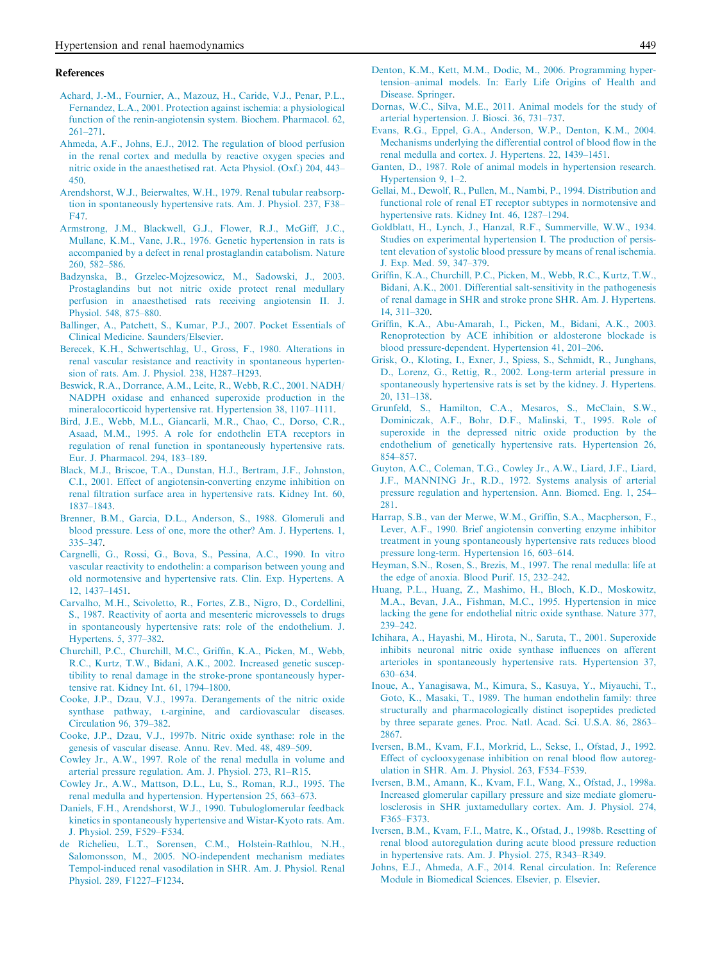#### References

- Achard, J.-M., Fournier, A., Mazouz, H., Caride, V.J., Penar, P.L., Fernandez, L.A., 2001. Protection against ischemia: a physiological function of the renin-angiotensin system. Biochem. Pharmacol. 62, 261–271.
- Ahmeda, A.F., Johns, E.J., 2012. The regulation of blood perfusion in the renal cortex and medulla by reactive oxygen species and nitric oxide in the anaesthetised rat. Acta Physiol. (Oxf.) 204, 443– 450.
- Arendshorst, W.J., Beierwaltes, W.H., 1979. Renal tubular reabsorption in spontaneously hypertensive rats. Am. J. Physiol. 237, F38– F47.
- Armstrong, J.M., Blackwell, G.J., Flower, R.J., McGiff, J.C., Mullane, K.M., Vane, J.R., 1976. Genetic hypertension in rats is accompanied by a defect in renal prostaglandin catabolism. Nature 260, 582–586.
- Badzynska, B., Grzelec-Mojzesowicz, M., Sadowski, J., 2003. Prostaglandins but not nitric oxide protect renal medullary perfusion in anaesthetised rats receiving angiotensin II. J. Physiol. 548, 875–880.
- Ballinger, A., Patchett, S., Kumar, P.J., 2007. Pocket Essentials of Clinical Medicine. Saunders/Elsevier.
- Berecek, K.H., Schwertschlag, U., Gross, F., 1980. Alterations in renal vascular resistance and reactivity in spontaneous hypertension of rats. Am. J. Physiol. 238, H287–H293.
- Beswick, R.A., Dorrance, A.M., Leite, R., Webb, R.C., 2001. NADH/ NADPH oxidase and enhanced superoxide production in the mineralocorticoid hypertensive rat. Hypertension 38, 1107–1111.
- Bird, J.E., Webb, M.L., Giancarli, M.R., Chao, C., Dorso, C.R., Asaad, M.M., 1995. A role for endothelin ETA receptors in regulation of renal function in spontaneously hypertensive rats. Eur. J. Pharmacol. 294, 183–189.
- Black, M.J., Briscoe, T.A., Dunstan, H.J., Bertram, J.F., Johnston, C.I., 2001. Effect of angiotensin-converting enzyme inhibition on renal filtration surface area in hypertensive rats. Kidney Int. 60, 1837–1843.
- Brenner, B.M., Garcia, D.L., Anderson, S., 1988. Glomeruli and blood pressure. Less of one, more the other? Am. J. Hypertens. 1, 335–347.
- Cargnelli, G., Rossi, G., Bova, S., Pessina, A.C., 1990. In vitro vascular reactivity to endothelin: a comparison between young and old normotensive and hypertensive rats. Clin. Exp. Hypertens. A 12, 1437–1451.
- Carvalho, M.H., Scivoletto, R., Fortes, Z.B., Nigro, D., Cordellini, S., 1987. Reactivity of aorta and mesenteric microvessels to drugs in spontaneously hypertensive rats: role of the endothelium. J. Hypertens. 5, 377–382.
- Churchill, P.C., Churchill, M.C., Griffin, K.A., Picken, M., Webb, R.C., Kurtz, T.W., Bidani, A.K., 2002. Increased genetic susceptibility to renal damage in the stroke-prone spontaneously hypertensive rat. Kidney Int. 61, 1794–1800.
- Cooke, J.P., Dzau, V.J., 1997a. Derangements of the nitric oxide synthase pathway, <sup>L</sup>-arginine, and cardiovascular diseases. Circulation 96, 379–382.
- Cooke, J.P., Dzau, V.J., 1997b. Nitric oxide synthase: role in the genesis of vascular disease. Annu. Rev. Med. 48, 489–509.
- Cowley Jr., A.W., 1997. Role of the renal medulla in volume and arterial pressure regulation. Am. J. Physiol. 273, R1–R15.
- Cowley Jr., A.W., Mattson, D.L., Lu, S., Roman, R.J., 1995. The renal medulla and hypertension. Hypertension 25, 663–673.
- Daniels, F.H., Arendshorst, W.J., 1990. Tubuloglomerular feedback kinetics in spontaneously hypertensive and Wistar-Kyoto rats. Am. J. Physiol. 259, F529–F534.
- de Richelieu, L.T., Sorensen, C.M., Holstein-Rathlou, N.H., Salomonsson, M., 2005. NO-independent mechanism mediates Tempol-induced renal vasodilation in SHR. Am. J. Physiol. Renal Physiol. 289, F1227–F1234.
- Denton, K.M., Kett, M.M., Dodic, M., 2006. Programming hypertension–animal models. In: Early Life Origins of Health and Disease. Springer.
- Dornas, W.C., Silva, M.E., 2011. Animal models for the study of arterial hypertension. J. Biosci. 36, 731–737.
- Evans, R.G., Eppel, G.A., Anderson, W.P., Denton, K.M., 2004. Mechanisms underlying the differential control of blood flow in the renal medulla and cortex. J. Hypertens. 22, 1439–1451.
- Ganten, D., 1987. Role of animal models in hypertension research. Hypertension 9, 1–2.
- Gellai, M., Dewolf, R., Pullen, M., Nambi, P., 1994. Distribution and functional role of renal ET receptor subtypes in normotensive and hypertensive rats. Kidney Int. 46, 1287–1294.
- Goldblatt, H., Lynch, J., Hanzal, R.F., Summerville, W.W., 1934. Studies on experimental hypertension I. The production of persistent elevation of systolic blood pressure by means of renal ischemia. J. Exp. Med. 59, 347–379.
- Griffin, K.A., Churchill, P.C., Picken, M., Webb, R.C., Kurtz, T.W., Bidani, A.K., 2001. Differential salt-sensitivity in the pathogenesis of renal damage in SHR and stroke prone SHR. Am. J. Hypertens. 14, 311–320.
- Griffin, K.A., Abu-Amarah, I., Picken, M., Bidani, A.K., 2003. Renoprotection by ACE inhibition or aldosterone blockade is blood pressure-dependent. Hypertension 41, 201–206.
- Grisk, O., Kloting, I., Exner, J., Spiess, S., Schmidt, R., Junghans, D., Lorenz, G., Rettig, R., 2002. Long-term arterial pressure in spontaneously hypertensive rats is set by the kidney. J. Hypertens. 20, 131–138.
- Grunfeld, S., Hamilton, C.A., Mesaros, S., McClain, S.W., Dominiczak, A.F., Bohr, D.F., Malinski, T., 1995. Role of superoxide in the depressed nitric oxide production by the endothelium of genetically hypertensive rats. Hypertension 26, 854–857.
- Guyton, A.C., Coleman, T.G., Cowley Jr., A.W., Liard, J.F., Liard, J.F., MANNING Jr., R.D., 1972. Systems analysis of arterial pressure regulation and hypertension. Ann. Biomed. Eng. 1, 254– 281.
- Harrap, S.B., van der Merwe, W.M., Griffin, S.A., Macpherson, F., Lever, A.F., 1990. Brief angiotensin converting enzyme inhibitor treatment in young spontaneously hypertensive rats reduces blood pressure long-term. Hypertension 16, 603–614.
- Heyman, S.N., Rosen, S., Brezis, M., 1997. The renal medulla: life at the edge of anoxia. Blood Purif. 15, 232–242.
- Huang, P.L., Huang, Z., Mashimo, H., Bloch, K.D., Moskowitz, M.A., Bevan, J.A., Fishman, M.C., 1995. Hypertension in mice lacking the gene for endothelial nitric oxide synthase. Nature 377, 239–242.
- Ichihara, A., Hayashi, M., Hirota, N., Saruta, T., 2001. Superoxide inhibits neuronal nitric oxide synthase influences on afferent arterioles in spontaneously hypertensive rats. Hypertension 37, 630–634.
- Inoue, A., Yanagisawa, M., Kimura, S., Kasuya, Y., Miyauchi, T., Goto, K., Masaki, T., 1989. The human endothelin family: three structurally and pharmacologically distinct isopeptides predicted by three separate genes. Proc. Natl. Acad. Sci. U.S.A. 86, 2863– 2867.
- Iversen, B.M., Kvam, F.I., Morkrid, L., Sekse, I., Ofstad, J., 1992. Effect of cyclooxygenase inhibition on renal blood flow autoregulation in SHR. Am. J. Physiol. 263, F534–F539.
- Iversen, B.M., Amann, K., Kvam, F.I., Wang, X., Ofstad, J., 1998a. Increased glomerular capillary pressure and size mediate glomerulosclerosis in SHR juxtamedullary cortex. Am. J. Physiol. 274, F365–F373.
- Iversen, B.M., Kvam, F.I., Matre, K., Ofstad, J., 1998b. Resetting of renal blood autoregulation during acute blood pressure reduction in hypertensive rats. Am. J. Physiol. 275, R343–R349.
- Johns, E.J., Ahmeda, A.F., 2014. Renal circulation. In: Reference Module in Biomedical Sciences. Elsevier, p. Elsevier.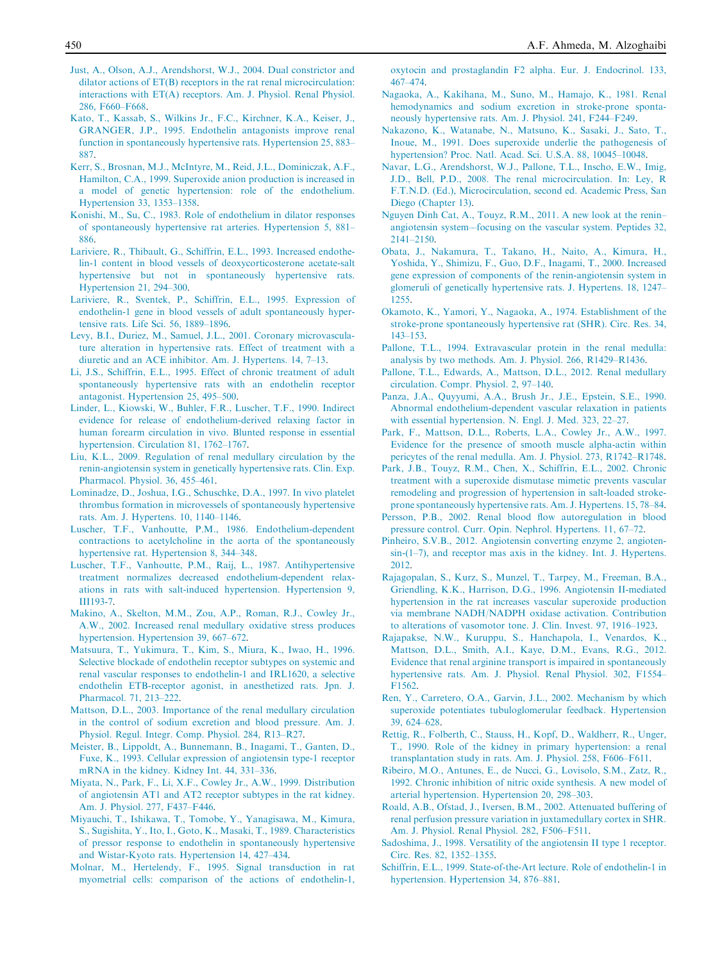- Just, A., Olson, A.J., Arendshorst, W.J., 2004. Dual constrictor and dilator actions of ET(B) receptors in the rat renal microcirculation: interactions with ET(A) receptors. Am. J. Physiol. Renal Physiol. 286, F660–F668.
- Kato, T., Kassab, S., Wilkins Jr., F.C., Kirchner, K.A., Keiser, J., GRANGER, J.P., 1995. Endothelin antagonists improve renal function in spontaneously hypertensive rats. Hypertension 25, 883– 887.
- Kerr, S., Brosnan, M.J., McIntyre, M., Reid, J.L., Dominiczak, A.F., Hamilton, C.A., 1999. Superoxide anion production is increased in a model of genetic hypertension: role of the endothelium. Hypertension 33, 1353–1358.
- Konishi, M., Su, C., 1983. Role of endothelium in dilator responses of spontaneously hypertensive rat arteries. Hypertension 5, 881– 886.
- Lariviere, R., Thibault, G., Schiffrin, E.L., 1993. Increased endothelin-1 content in blood vessels of deoxycorticosterone acetate-salt hypertensive but not in spontaneously hypertensive rats. Hypertension 21, 294–300.
- Lariviere, R., Sventek, P., Schiffrin, E.L., 1995. Expression of endothelin-1 gene in blood vessels of adult spontaneously hypertensive rats. Life Sci. 56, 1889–1896.
- Levy, B.I., Duriez, M., Samuel, J.L., 2001. Coronary microvasculature alteration in hypertensive rats. Effect of treatment with a diuretic and an ACE inhibitor. Am. J. Hypertens. 14, 7–13.
- Li, J.S., Schiffrin, E.L., 1995. Effect of chronic treatment of adult spontaneously hypertensive rats with an endothelin receptor antagonist. Hypertension 25, 495–500.
- Linder, L., Kiowski, W., Buhler, F.R., Luscher, T.F., 1990. Indirect evidence for release of endothelium-derived relaxing factor in human forearm circulation in vivo. Blunted response in essential hypertension. Circulation 81, 1762–1767.
- Liu, K.L., 2009. Regulation of renal medullary circulation by the renin-angiotensin system in genetically hypertensive rats. Clin. Exp. Pharmacol. Physiol. 36, 455–461.
- Lominadze, D., Joshua, I.G., Schuschke, D.A., 1997. In vivo platelet thrombus formation in microvessels of spontaneously hypertensive rats. Am. J. Hypertens. 10, 1140–1146.
- Luscher, T.F., Vanhoutte, P.M., 1986. Endothelium-dependent contractions to acetylcholine in the aorta of the spontaneously hypertensive rat. Hypertension 8, 344–348.
- Luscher, T.F., Vanhoutte, P.M., Raij, L., 1987. Antihypertensive treatment normalizes decreased endothelium-dependent relaxations in rats with salt-induced hypertension. Hypertension 9, III193-7.
- Makino, A., Skelton, M.M., Zou, A.P., Roman, R.J., Cowley Jr., A.W., 2002. Increased renal medullary oxidative stress produces hypertension. Hypertension 39, 667–672.
- Matsuura, T., Yukimura, T., Kim, S., Miura, K., Iwao, H., 1996. Selective blockade of endothelin receptor subtypes on systemic and renal vascular responses to endothelin-1 and IRL1620, a selective endothelin ETB-receptor agonist, in anesthetized rats. Jpn. J. Pharmacol. 71, 213–222.
- Mattson, D.L., 2003. Importance of the renal medullary circulation in the control of sodium excretion and blood pressure. Am. J. Physiol. Regul. Integr. Comp. Physiol. 284, R13–R27.
- Meister, B., Lippoldt, A., Bunnemann, B., Inagami, T., Ganten, D., Fuxe, K., 1993. Cellular expression of angiotensin type-1 receptor mRNA in the kidney. Kidney Int. 44, 331–336.
- Miyata, N., Park, F., Li, X.F., Cowley Jr., A.W., 1999. Distribution of angiotensin AT1 and AT2 receptor subtypes in the rat kidney. Am. J. Physiol. 277, F437–F446.
- Miyauchi, T., Ishikawa, T., Tomobe, Y., Yanagisawa, M., Kimura, S., Sugishita, Y., Ito, I., Goto, K., Masaki, T., 1989. Characteristics of pressor response to endothelin in spontaneously hypertensive and Wistar-Kyoto rats. Hypertension 14, 427–434.
- Molnar, M., Hertelendy, F., 1995. Signal transduction in rat myometrial cells: comparison of the actions of endothelin-1,

oxytocin and prostaglandin F2 alpha. Eur. J. Endocrinol. 133, 467–474.

- Nagaoka, A., Kakihana, M., Suno, M., Hamajo, K., 1981. Renal hemodynamics and sodium excretion in stroke-prone spontaneously hypertensive rats. Am. J. Physiol. 241, F244–F249.
- Nakazono, K., Watanabe, N., Matsuno, K., Sasaki, J., Sato, T., Inoue, M., 1991. Does superoxide underlie the pathogenesis of hypertension? Proc. Natl. Acad. Sci. U.S.A. 88, 10045–10048.
- Navar, L.G., Arendshorst, W.J., Pallone, T.L., Inscho, E.W., Imig, J.D., Bell, P.D., 2008. The renal microcirculation. In: Ley, R F.T.N.D. (Ed.), Microcirculation, second ed. Academic Press, San Diego (Chapter 13).
- Nguyen Dinh Cat, A., Touyz, R.M., 2011. A new look at the renin– angiotensin system––focusing on the vascular system. Peptides 32, 2141–2150.
- Obata, J., Nakamura, T., Takano, H., Naito, A., Kimura, H., Yoshida, Y., Shimizu, F., Guo, D.F., Inagami, T., 2000. Increased gene expression of components of the renin-angiotensin system in glomeruli of genetically hypertensive rats. J. Hypertens. 18, 1247– 1255.
- Okamoto, K., Yamori, Y., Nagaoka, A., 1974. Establishment of the stroke-prone spontaneously hypertensive rat (SHR). Circ. Res. 34, 143–153.
- Pallone, T.L., 1994. Extravascular protein in the renal medulla: analysis by two methods. Am. J. Physiol. 266, R1429–R1436.
- Pallone, T.L., Edwards, A., Mattson, D.L., 2012. Renal medullary circulation. Compr. Physiol. 2, 97–140.
- Panza, J.A., Quyyumi, A.A., Brush Jr., J.E., Epstein, S.E., 1990. Abnormal endothelium-dependent vascular relaxation in patients with essential hypertension. N. Engl. J. Med. 323, 22–27.
- Park, F., Mattson, D.L., Roberts, L.A., Cowley Jr., A.W., 1997. Evidence for the presence of smooth muscle alpha-actin within pericytes of the renal medulla. Am. J. Physiol. 273, R1742–R1748.
- Park, J.B., Touyz, R.M., Chen, X., Schiffrin, E.L., 2002. Chronic treatment with a superoxide dismutase mimetic prevents vascular remodeling and progression of hypertension in salt-loaded strokeprone spontaneously hypertensive rats. Am. J. Hypertens. 15, 78–84.
- Persson, P.B., 2002. Renal blood flow autoregulation in blood pressure control. Curr. Opin. Nephrol. Hypertens. 11, 67–72.
- Pinheiro, S.V.B., 2012. Angiotensin converting enzyme 2, angiotensin-(1–7), and receptor mas axis in the kidney. Int. J. Hypertens. 2012.
- Rajagopalan, S., Kurz, S., Munzel, T., Tarpey, M., Freeman, B.A., Griendling, K.K., Harrison, D.G., 1996. Angiotensin II-mediated hypertension in the rat increases vascular superoxide production via membrane NADH/NADPH oxidase activation. Contribution to alterations of vasomotor tone. J. Clin. Invest. 97, 1916–1923.
- Rajapakse, N.W., Kuruppu, S., Hanchapola, I., Venardos, K., Mattson, D.L., Smith, A.I., Kaye, D.M., Evans, R.G., 2012. Evidence that renal arginine transport is impaired in spontaneously hypertensive rats. Am. J. Physiol. Renal Physiol. 302, F1554– F1562.
- Ren, Y., Carretero, O.A., Garvin, J.L., 2002. Mechanism by which superoxide potentiates tubuloglomerular feedback. Hypertension 39, 624–628.
- Rettig, R., Folberth, C., Stauss, H., Kopf, D., Waldherr, R., Unger, T., 1990. Role of the kidney in primary hypertension: a renal transplantation study in rats. Am. J. Physiol. 258, F606–F611.
- Ribeiro, M.O., Antunes, E., de Nucci, G., Lovisolo, S.M., Zatz, R., 1992. Chronic inhibition of nitric oxide synthesis. A new model of arterial hypertension. Hypertension 20, 298–303.
- Roald, A.B., Ofstad, J., Iversen, B.M., 2002. Attenuated buffering of renal perfusion pressure variation in juxtamedullary cortex in SHR. Am. J. Physiol. Renal Physiol. 282, F506–F511.
- Sadoshima, J., 1998. Versatility of the angiotensin II type 1 receptor. Circ. Res. 82, 1352–1355.
- Schiffrin, E.L., 1999. State-of-the-Art lecture. Role of endothelin-1 in hypertension. Hypertension 34, 876–881.